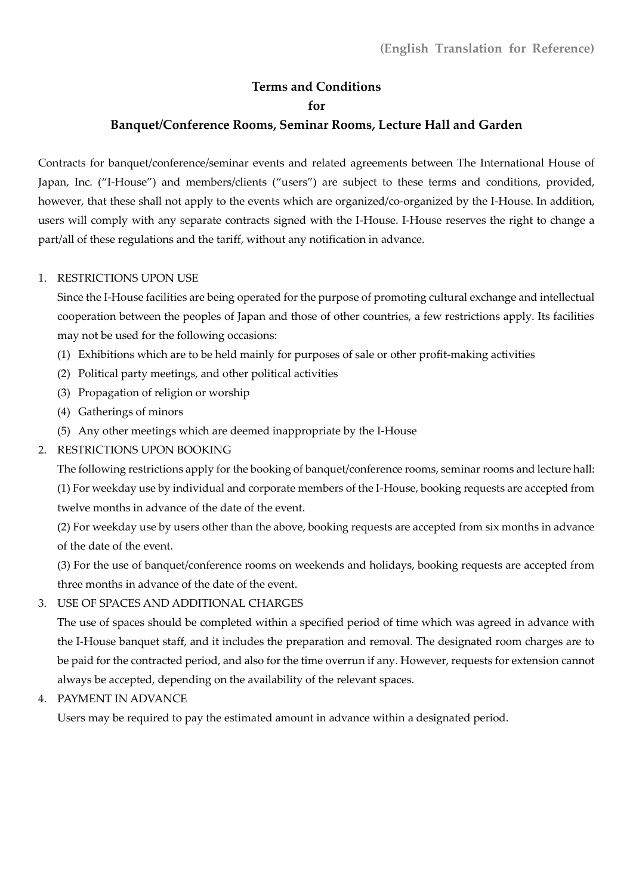# **Terms and Conditions for**

## **Banquet/Conference Rooms, Seminar Rooms, Lecture Hall and Garden**

Contracts for banquet/conference/seminar events and related agreements between The International House of Japan, Inc. ("I-House") and members/clients ("users") are subject to these terms and conditions, provided, however, that these shall not apply to the events which are organized/co-organized by the I-House. In addition, users will comply with any separate contracts signed with the I-House. I-House reserves the right to change a part/all of these regulations and the tariff, without any notification in advance.

#### 1. RESTRICTIONS UPON USE

Since the I-House facilities are being operated for the purpose of promoting cultural exchange and intellectual cooperation between the peoples of Japan and those of other countries, a few restrictions apply. Its facilities may not be used for the following occasions:

- (1) Exhibitions which are to be held mainly for purposes of sale or other profit-making activities
- (2) Political party meetings, and other political activities
- (3) Propagation of religion or worship
- (4) Gatherings of minors
- (5) Any other meetings which are deemed inappropriate by the I-House

#### 2. RESTRICTIONS UPON BOOKING

The following restrictions apply for the booking of banquet/conference rooms, seminar rooms and lecture hall: (1) For weekday use by individual and corporate members of the I-House, booking requests are accepted from twelve months in advance of the date of the event.

(2) For weekday use by users other than the above, booking requests are accepted from six months in advance of the date of the event.

(3) For the use of banquet/conference rooms on weekends and holidays, booking requests are accepted from three months in advance of the date of the event.

3. USE OF SPACES AND ADDITIONAL CHARGES

The use of spaces should be completed within a specified period of time which was agreed in advance with the I-House banquet staff, and it includes the preparation and removal. The designated room charges are to be paid for the contracted period, and also for the time overrun if any. However, requests for extension cannot always be accepted, depending on the availability of the relevant spaces.

4. PAYMENT IN ADVANCE

Users may be required to pay the estimated amount in advance within a designated period.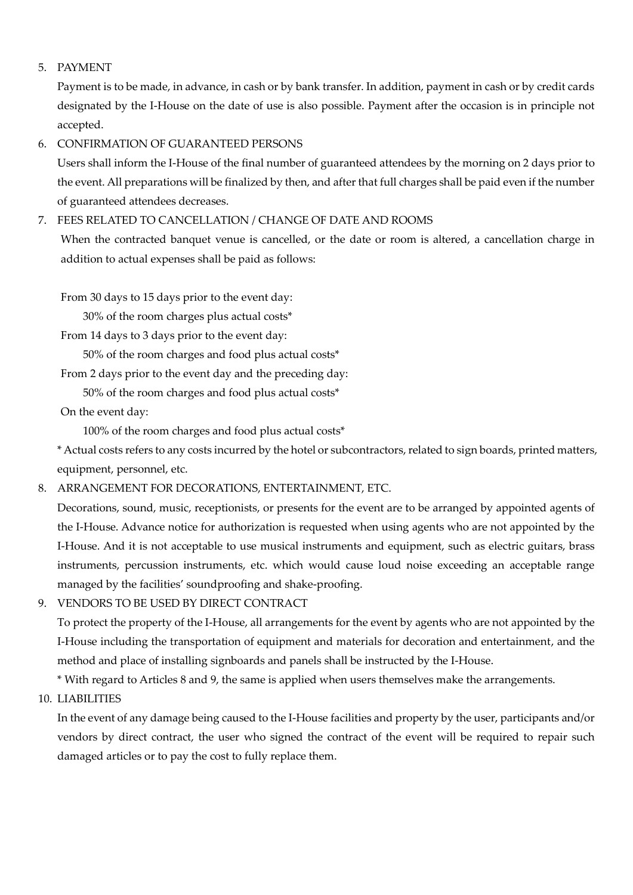## 5. PAYMENT

Payment is to be made, in advance, in cash or by bank transfer. In addition, payment in cash or by credit cards designated by the I-House on the date of use is also possible. Payment after the occasion is in principle not accepted.

#### 6. CONFIRMATION OF GUARANTEED PERSONS

Users shall inform the I-House of the final number of guaranteed attendees by the morning on 2 days prior to the event. All preparations will be finalized by then, and after that full charges shall be paid even if the number of guaranteed attendees decreases.

## 7. FEES RELATED TO CANCELLATION / CHANGE OF DATE AND ROOMS

When the contracted banquet venue is cancelled, or the date or room is altered, a cancellation charge in addition to actual expenses shall be paid as follows:

From 30 days to 15 days prior to the event day:

30% of the room charges plus actual costs\*

From 14 days to 3 days prior to the event day:

50% of the room charges and food plus actual costs\*

From 2 days prior to the event day and the preceding day:

50% of the room charges and food plus actual costs\*

On the event day:

100% of the room charges and food plus actual costs\*

\* Actual costs refers to any costs incurred by the hotel or subcontractors, related to sign boards, printed matters, equipment, personnel, etc.

#### 8. ARRANGEMENT FOR DECORATIONS, ENTERTAINMENT, ETC.

Decorations, sound, music, receptionists, or presents for the event are to be arranged by appointed agents of the I-House. Advance notice for authorization is requested when using agents who are not appointed by the I-House. And it is not acceptable to use musical instruments and equipment, such as electric guitars, brass instruments, percussion instruments, etc. which would cause loud noise exceeding an acceptable range managed by the facilities' soundproofing and shake-proofing.

9. VENDORS TO BE USED BY DIRECT CONTRACT

To protect the property of the I-House, all arrangements for the event by agents who are not appointed by the I-House including the transportation of equipment and materials for decoration and entertainment, and the method and place of installing signboards and panels shall be instructed by the I-House.

\* With regard to Articles 8 and 9, the same is applied when users themselves make the arrangements.

10. LIABILITIES

In the event of any damage being caused to the I-House facilities and property by the user, participants and/or vendors by direct contract, the user who signed the contract of the event will be required to repair such damaged articles or to pay the cost to fully replace them.